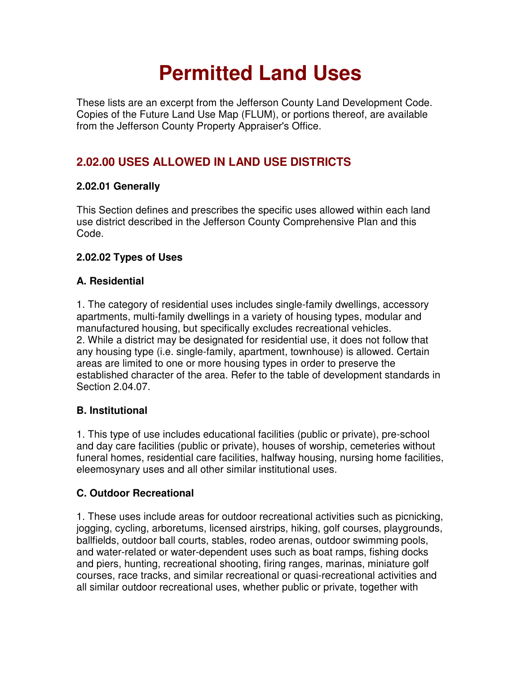# **Permitted Land Uses**

These lists are an excerpt from the Jefferson County Land Development Code. Copies of the Future Land Use Map (FLUM), or portions thereof, are available from the Jefferson County Property Appraiser's Office.

## **2.02.00 USES ALLOWED IN LAND USE DISTRICTS**

## **2.02.01 Generally**

This Section defines and prescribes the specific uses allowed within each land use district described in the Jefferson County Comprehensive Plan and this Code.

## **2.02.02 Types of Uses**

## **A. Residential**

1. The category of residential uses includes single-family dwellings, accessory apartments, multi-family dwellings in a variety of housing types, modular and manufactured housing, but specifically excludes recreational vehicles. 2. While a district may be designated for residential use, it does not follow that any housing type (i.e. single-family, apartment, townhouse) is allowed. Certain areas are limited to one or more housing types in order to preserve the established character of the area. Refer to the table of development standards in Section 2.04.07.

## **B. Institutional**

1. This type of use includes educational facilities (public or private), pre-school and day care facilities (public or private), houses of worship, cemeteries without funeral homes, residential care facilities, halfway housing, nursing home facilities, eleemosynary uses and all other similar institutional uses.

## **C. Outdoor Recreational**

1. These uses include areas for outdoor recreational activities such as picnicking, jogging, cycling, arboretums, licensed airstrips, hiking, golf courses, playgrounds, ballfields, outdoor ball courts, stables, rodeo arenas, outdoor swimming pools, and water-related or water-dependent uses such as boat ramps, fishing docks and piers, hunting, recreational shooting, firing ranges, marinas, miniature golf courses, race tracks, and similar recreational or quasi-recreational activities and all similar outdoor recreational uses, whether public or private, together with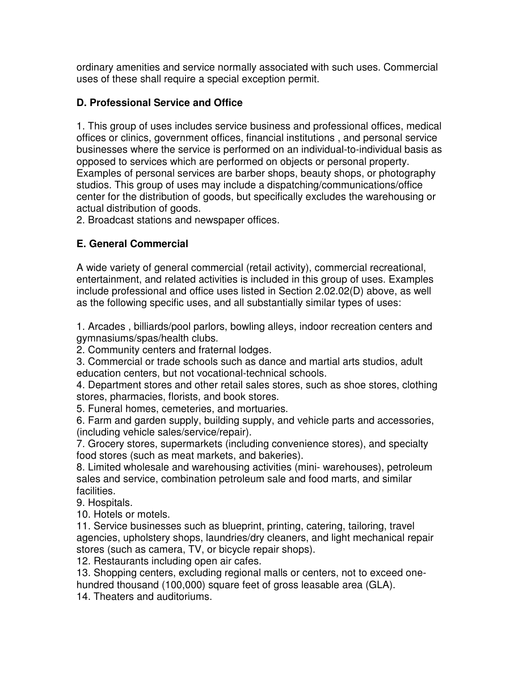ordinary amenities and service normally associated with such uses. Commercial uses of these shall require a special exception permit.

## **D. Professional Service and Office**

1. This group of uses includes service business and professional offices, medical offices or clinics, government offices, financial institutions , and personal service businesses where the service is performed on an individual-to-individual basis as opposed to services which are performed on objects or personal property. Examples of personal services are barber shops, beauty shops, or photography studios. This group of uses may include a dispatching/communications/office center for the distribution of goods, but specifically excludes the warehousing or actual distribution of goods.

2. Broadcast stations and newspaper offices.

## **E. General Commercial**

A wide variety of general commercial (retail activity), commercial recreational, entertainment, and related activities is included in this group of uses. Examples include professional and office uses listed in Section 2.02.02(D) above, as well as the following specific uses, and all substantially similar types of uses:

1. Arcades , billiards/pool parlors, bowling alleys, indoor recreation centers and gymnasiums/spas/health clubs.

2. Community centers and fraternal lodges.

3. Commercial or trade schools such as dance and martial arts studios, adult education centers, but not vocational-technical schools.

4. Department stores and other retail sales stores, such as shoe stores, clothing stores, pharmacies, florists, and book stores.

5. Funeral homes, cemeteries, and mortuaries.

6. Farm and garden supply, building supply, and vehicle parts and accessories, (including vehicle sales/service/repair).

7. Grocery stores, supermarkets (including convenience stores), and specialty food stores (such as meat markets, and bakeries).

8. Limited wholesale and warehousing activities (mini- warehouses), petroleum sales and service, combination petroleum sale and food marts, and similar facilities.

9. Hospitals.

10. Hotels or motels.

11. Service businesses such as blueprint, printing, catering, tailoring, travel agencies, upholstery shops, laundries/dry cleaners, and light mechanical repair stores (such as camera, TV, or bicycle repair shops).

12. Restaurants including open air cafes.

13. Shopping centers, excluding regional malls or centers, not to exceed onehundred thousand (100,000) square feet of gross leasable area (GLA).

14. Theaters and auditoriums.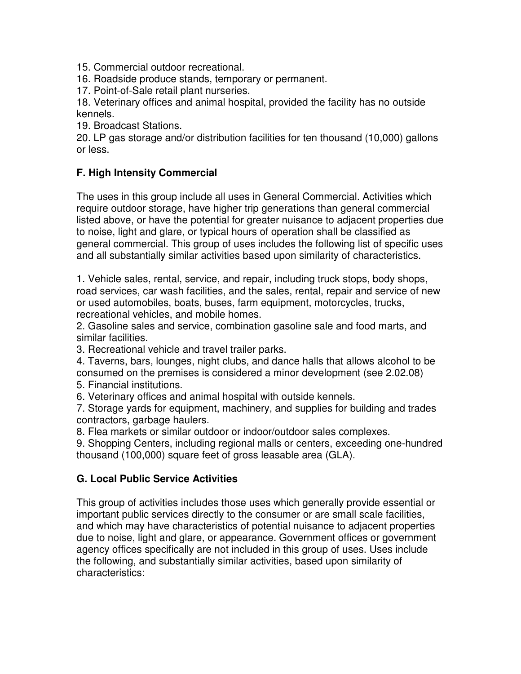15. Commercial outdoor recreational.

16. Roadside produce stands, temporary or permanent.

17. Point-of-Sale retail plant nurseries.

18. Veterinary offices and animal hospital, provided the facility has no outside kennels.

19. Broadcast Stations.

20. LP gas storage and/or distribution facilities for ten thousand (10,000) gallons or less.

## **F. High Intensity Commercial**

The uses in this group include all uses in General Commercial. Activities which require outdoor storage, have higher trip generations than general commercial listed above, or have the potential for greater nuisance to adjacent properties due to noise, light and glare, or typical hours of operation shall be classified as general commercial. This group of uses includes the following list of specific uses and all substantially similar activities based upon similarity of characteristics.

1. Vehicle sales, rental, service, and repair, including truck stops, body shops, road services, car wash facilities, and the sales, rental, repair and service of new or used automobiles, boats, buses, farm equipment, motorcycles, trucks, recreational vehicles, and mobile homes.

2. Gasoline sales and service, combination gasoline sale and food marts, and similar facilities.

3. Recreational vehicle and travel trailer parks.

4. Taverns, bars, lounges, night clubs, and dance halls that allows alcohol to be consumed on the premises is considered a minor development (see 2.02.08)

5. Financial institutions.

6. Veterinary offices and animal hospital with outside kennels.

7. Storage yards for equipment, machinery, and supplies for building and trades contractors, garbage haulers.

8. Flea markets or similar outdoor or indoor/outdoor sales complexes.

9. Shopping Centers, including regional malls or centers, exceeding one-hundred thousand (100,000) square feet of gross leasable area (GLA).

#### **G. Local Public Service Activities**

This group of activities includes those uses which generally provide essential or important public services directly to the consumer or are small scale facilities, and which may have characteristics of potential nuisance to adjacent properties due to noise, light and glare, or appearance. Government offices or government agency offices specifically are not included in this group of uses. Uses include the following, and substantially similar activities, based upon similarity of characteristics: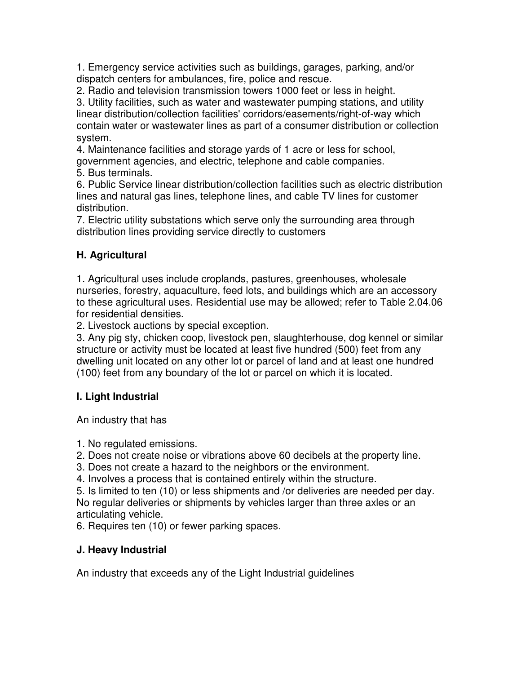1. Emergency service activities such as buildings, garages, parking, and/or dispatch centers for ambulances, fire, police and rescue.

2. Radio and television transmission towers 1000 feet or less in height.

3. Utility facilities, such as water and wastewater pumping stations, and utility linear distribution/collection facilities' corridors/easements/right-of-way which contain water or wastewater lines as part of a consumer distribution or collection system.

4. Maintenance facilities and storage yards of 1 acre or less for school, government agencies, and electric, telephone and cable companies.

5. Bus terminals.

6. Public Service linear distribution/collection facilities such as electric distribution lines and natural gas lines, telephone lines, and cable TV lines for customer distribution.

7. Electric utility substations which serve only the surrounding area through distribution lines providing service directly to customers

## **H. Agricultural**

1. Agricultural uses include croplands, pastures, greenhouses, wholesale nurseries, forestry, aquaculture, feed lots, and buildings which are an accessory to these agricultural uses. Residential use may be allowed; refer to Table 2.04.06 for residential densities.

2. Livestock auctions by special exception.

3. Any pig sty, chicken coop, livestock pen, slaughterhouse, dog kennel or similar structure or activity must be located at least five hundred (500) feet from any dwelling unit located on any other lot or parcel of land and at least one hundred (100) feet from any boundary of the lot or parcel on which it is located.

## **I. Light Industrial**

An industry that has

1. No regulated emissions.

2. Does not create noise or vibrations above 60 decibels at the property line.

3. Does not create a hazard to the neighbors or the environment.

4. Involves a process that is contained entirely within the structure.

5. Is limited to ten (10) or less shipments and /or deliveries are needed per day. No regular deliveries or shipments by vehicles larger than three axles or an articulating vehicle.

6. Requires ten (10) or fewer parking spaces.

## **J. Heavy Industrial**

An industry that exceeds any of the Light Industrial guidelines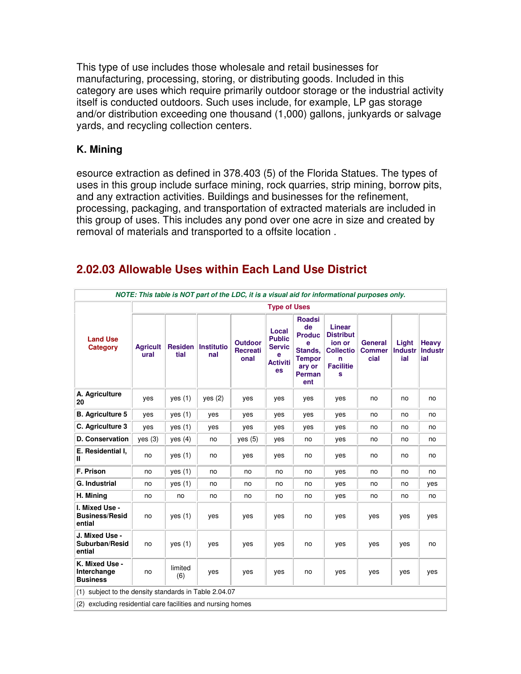This type of use includes those wholesale and retail businesses for manufacturing, processing, storing, or distributing goods. Included in this category are uses which require primarily outdoor storage or the industrial activity itself is conducted outdoors. Such uses include, for example, LP gas storage and/or distribution exceeding one thousand (1,000) gallons, junkyards or salvage yards, and recycling collection centers.

#### **K. Mining**

esource extraction as defined in 378.403 (5) of the Florida Statues. The types of uses in this group include surface mining, rock quarries, strip mining, borrow pits, and any extraction activities. Buildings and businesses for the refinement, processing, packaging, and transportation of extracted materials are included in this group of uses. This includes any pond over one acre in size and created by removal of materials and transported to a offsite location .

| NOTE: This table is NOT part of the LDC, it is a visual aid for informational purposes only. |                         |                        |                          |                                           |                                                                       |                                                                                                         |                                                                                        |                                         |                                |                                |
|----------------------------------------------------------------------------------------------|-------------------------|------------------------|--------------------------|-------------------------------------------|-----------------------------------------------------------------------|---------------------------------------------------------------------------------------------------------|----------------------------------------------------------------------------------------|-----------------------------------------|--------------------------------|--------------------------------|
|                                                                                              | <b>Type of Uses</b>     |                        |                          |                                           |                                                                       |                                                                                                         |                                                                                        |                                         |                                |                                |
| <b>Land Use</b><br><b>Category</b>                                                           | <b>Agricult</b><br>ural | <b>Residen</b><br>tial | <b>Institutio</b><br>nal | <b>Outdoor</b><br><b>Recreati</b><br>onal | Local<br><b>Public</b><br><b>Servic</b><br>е<br><b>Activiti</b><br>es | <b>Roadsi</b><br>de<br><b>Produc</b><br>e<br>Stands,<br><b>Tempor</b><br>ary or<br><b>Perman</b><br>ent | Linear<br><b>Distribut</b><br>ion or<br><b>Collectio</b><br>n<br><b>Facilitie</b><br>s | <b>General</b><br><b>Commer</b><br>cial | Light<br><b>Industr</b><br>ial | Heavy<br><b>Industr</b><br>ial |
| A. Agriculture<br>20                                                                         | yes                     | yes(1)                 | yes (2)                  | yes                                       | yes                                                                   | yes                                                                                                     | yes                                                                                    | no                                      | no                             | no                             |
| <b>B.</b> Agriculture 5                                                                      | yes                     | yes(1)                 | yes                      | yes                                       | yes                                                                   | yes                                                                                                     | yes                                                                                    | no                                      | no                             | no                             |
| C. Agriculture 3                                                                             | yes                     | yes $(1)$              | yes                      | yes                                       | yes                                                                   | yes                                                                                                     | yes                                                                                    | no                                      | no                             | no                             |
| D. Conservation                                                                              | yes(3)                  | yes(4)                 | no                       | yes(5)                                    | yes                                                                   | no                                                                                                      | yes                                                                                    | no                                      | no                             | no                             |
| E. Residential I.<br>Ш                                                                       | no                      | yes $(1)$              | no                       | yes                                       | yes                                                                   | no                                                                                                      | yes                                                                                    | no                                      | no                             | no                             |
| F. Prison                                                                                    | no                      | yes(1)                 | no                       | no                                        | no                                                                    | no                                                                                                      | yes                                                                                    | no                                      | no                             | no                             |
| <b>G. Industrial</b>                                                                         | no                      | yes(1)                 | no                       | no                                        | no                                                                    | no                                                                                                      | yes                                                                                    | no                                      | no                             | yes                            |
| H. Mining                                                                                    | no                      | no                     | no                       | no                                        | no                                                                    | no                                                                                                      | yes                                                                                    | no                                      | no                             | no                             |
| I. Mixed Use -<br><b>Business/Resid</b><br>ential                                            | no                      | yes(1)                 | yes                      | yes                                       | yes                                                                   | no                                                                                                      | yes                                                                                    | yes                                     | yes                            | yes                            |
| J. Mixed Use -<br>Suburban/Resid<br>ential                                                   | no                      | yes(1)                 | yes                      | yes                                       | yes                                                                   | no                                                                                                      | yes                                                                                    | yes                                     | yes                            | no                             |
| K. Mixed Use -<br>Interchange<br><b>Business</b>                                             | no                      | limited<br>(6)         | yes                      | yes                                       | yes                                                                   | no                                                                                                      | yes                                                                                    | yes                                     | yes                            | yes                            |
| subject to the density standards in Table 2.04.07<br>(1)                                     |                         |                        |                          |                                           |                                                                       |                                                                                                         |                                                                                        |                                         |                                |                                |
| (2) excluding residential care facilities and nursing homes                                  |                         |                        |                          |                                           |                                                                       |                                                                                                         |                                                                                        |                                         |                                |                                |

## **2.02.03 Allowable Uses within Each Land Use District**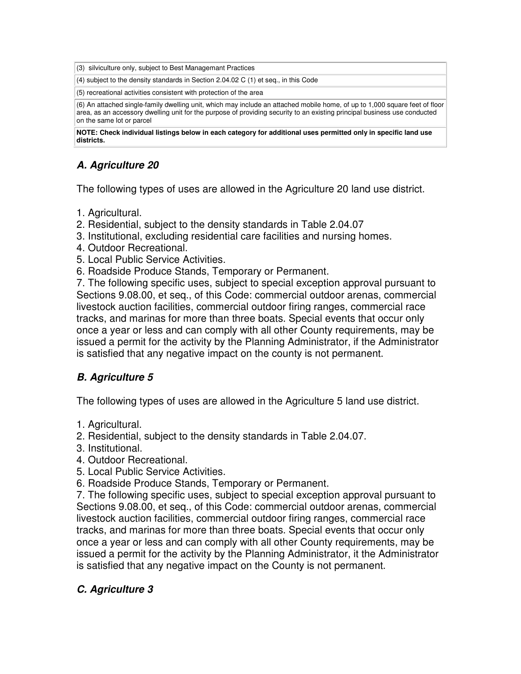(3) silviculture only, subject to Best Managemant Practices

(4) subject to the density standards in Section 2.04.02 C (1) et seq., in this Code

(5) recreational activities consistent with protection of the area

(6) An attached single-family dwelling unit, which may include an attached mobile home, of up to 1,000 square feet of floor area, as an accessory dwelling unit for the purpose of providing security to an existing principal business use conducted on the same lot or parcel

**NOTE: Check individual listings below in each category for additional uses permitted only in specific land use districts.** 

## **A. Agriculture 20**

The following types of uses are allowed in the Agriculture 20 land use district.

- 1. Agricultural.
- 2. Residential, subject to the density standards in Table 2.04.07
- 3. Institutional, excluding residential care facilities and nursing homes.
- 4. Outdoor Recreational.
- 5. Local Public Service Activities.
- 6. Roadside Produce Stands, Temporary or Permanent.

7. The following specific uses, subject to special exception approval pursuant to Sections 9.08.00, et seq., of this Code: commercial outdoor arenas, commercial livestock auction facilities, commercial outdoor firing ranges, commercial race tracks, and marinas for more than three boats. Special events that occur only once a year or less and can comply with all other County requirements, may be issued a permit for the activity by the Planning Administrator, if the Administrator is satisfied that any negative impact on the county is not permanent.

#### **B. Agriculture 5**

The following types of uses are allowed in the Agriculture 5 land use district.

- 1. Agricultural.
- 2. Residential, subject to the density standards in Table 2.04.07.
- 3. Institutional.
- 4. Outdoor Recreational.
- 5. Local Public Service Activities.
- 6. Roadside Produce Stands, Temporary or Permanent.

7. The following specific uses, subject to special exception approval pursuant to Sections 9.08.00, et seq., of this Code: commercial outdoor arenas, commercial livestock auction facilities, commercial outdoor firing ranges, commercial race tracks, and marinas for more than three boats. Special events that occur only once a year or less and can comply with all other County requirements, may be issued a permit for the activity by the Planning Administrator, it the Administrator is satisfied that any negative impact on the County is not permanent.

#### **C. Agriculture 3**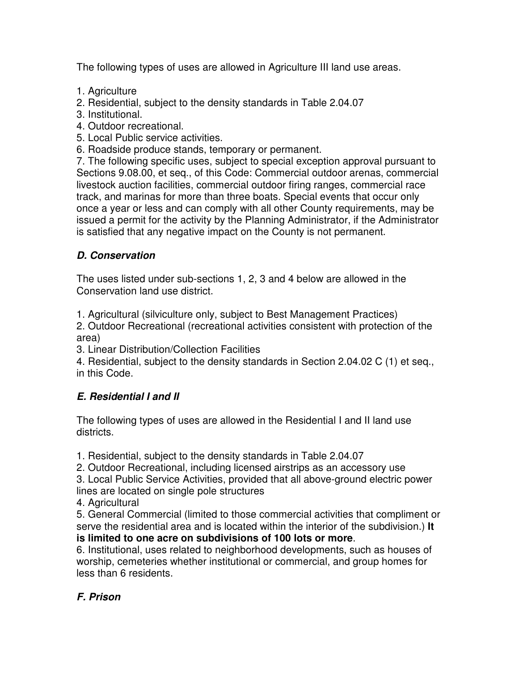The following types of uses are allowed in Agriculture III land use areas.

- 1. Agriculture
- 2. Residential, subject to the density standards in Table 2.04.07
- 3. Institutional.
- 4. Outdoor recreational.
- 5. Local Public service activities.
- 6. Roadside produce stands, temporary or permanent.

7. The following specific uses, subject to special exception approval pursuant to Sections 9.08.00, et seq., of this Code: Commercial outdoor arenas, commercial livestock auction facilities, commercial outdoor firing ranges, commercial race track, and marinas for more than three boats. Special events that occur only once a year or less and can comply with all other County requirements, may be issued a permit for the activity by the Planning Administrator, if the Administrator is satisfied that any negative impact on the County is not permanent.

## **D. Conservation**

The uses listed under sub-sections 1, 2, 3 and 4 below are allowed in the Conservation land use district.

1. Agricultural (silviculture only, subject to Best Management Practices)

2. Outdoor Recreational (recreational activities consistent with protection of the area)

3. Linear Distribution/Collection Facilities

4. Residential, subject to the density standards in Section 2.04.02 C (1) et seq., in this Code.

## **E. Residential I and II**

The following types of uses are allowed in the Residential I and II land use districts.

1. Residential, subject to the density standards in Table 2.04.07

2. Outdoor Recreational, including licensed airstrips as an accessory use

3. Local Public Service Activities, provided that all above-ground electric power lines are located on single pole structures

4. Agricultural

5. General Commercial (limited to those commercial activities that compliment or serve the residential area and is located within the interior of the subdivision.) **It is limited to one acre on subdivisions of 100 lots or more**.

6. Institutional, uses related to neighborhood developments, such as houses of worship, cemeteries whether institutional or commercial, and group homes for less than 6 residents.

## **F. Prison**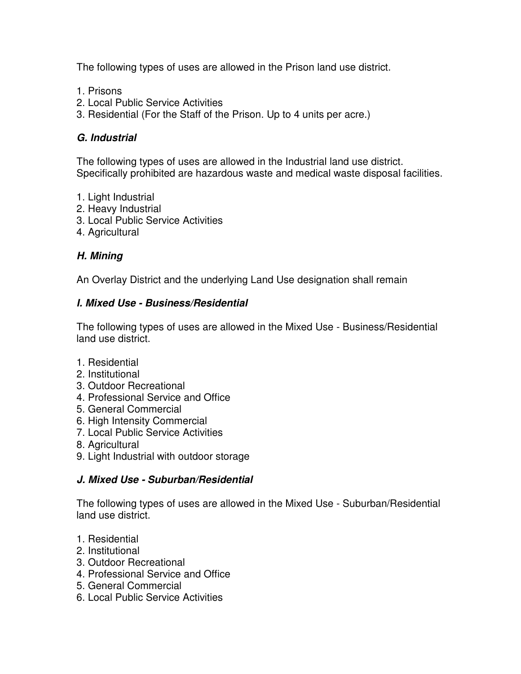The following types of uses are allowed in the Prison land use district.

- 1. Prisons
- 2. Local Public Service Activities
- 3. Residential (For the Staff of the Prison. Up to 4 units per acre.)

#### **G. Industrial**

The following types of uses are allowed in the Industrial land use district. Specifically prohibited are hazardous waste and medical waste disposal facilities.

- 1. Light Industrial
- 2. Heavy Industrial
- 3. Local Public Service Activities
- 4. Agricultural

## **H. Mining**

An Overlay District and the underlying Land Use designation shall remain

#### **I. Mixed Use - Business/Residential**

The following types of uses are allowed in the Mixed Use - Business/Residential land use district.

- 1. Residential
- 2. Institutional
- 3. Outdoor Recreational
- 4. Professional Service and Office
- 5. General Commercial
- 6. High Intensity Commercial
- 7. Local Public Service Activities
- 8. Agricultural
- 9. Light Industrial with outdoor storage

#### **J. Mixed Use - Suburban/Residential**

The following types of uses are allowed in the Mixed Use - Suburban/Residential land use district.

- 1. Residential
- 2. Institutional
- 3. Outdoor Recreational
- 4. Professional Service and Office
- 5. General Commercial
- 6. Local Public Service Activities